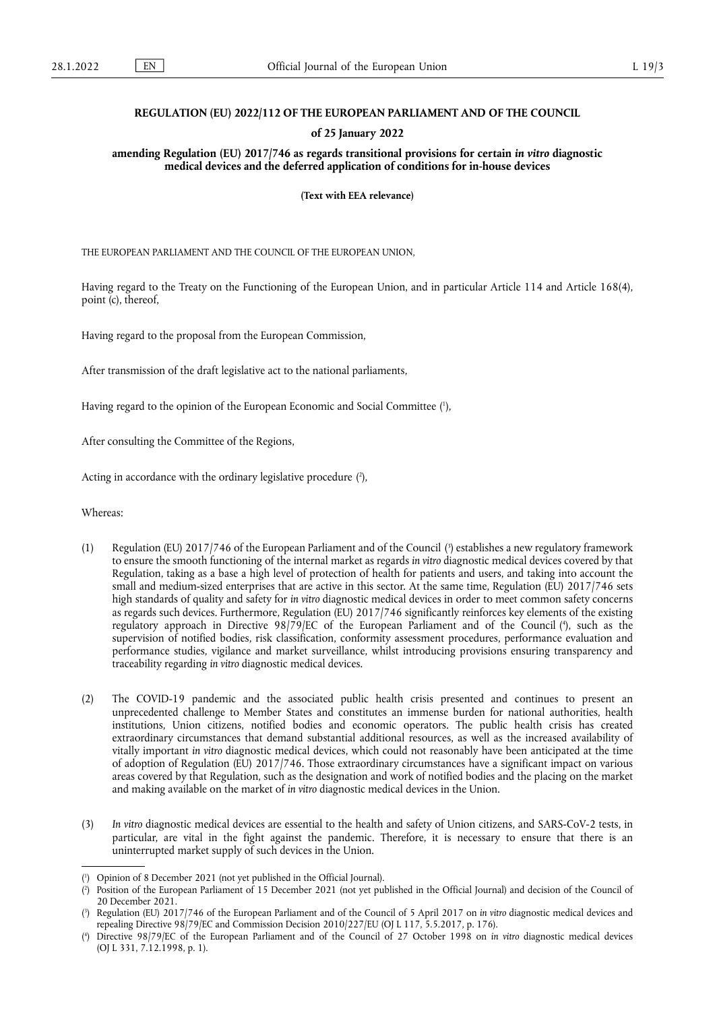## **REGULATION (EU) 2022/112 OF THE EUROPEAN PARLIAMENT AND OF THE COUNCIL**

## **of 25 January 2022**

**amending Regulation (EU) 2017/746 as regards transitional provisions for certain** *in vitro* **diagnostic medical devices and the deferred application of conditions for in-house devices** 

**(Text with EEA relevance)** 

THE EUROPEAN PARLIAMENT AND THE COUNCIL OF THE EUROPEAN UNION,

Having regard to the Treaty on the Functioning of the European Union, and in particular Article 114 and Article 168(4), point (c), thereof,

Having regard to the proposal from the European Commission,

After transmission of the draft legislative act to the national parliaments,

<span id="page-0-4"></span>Having regard to the opinion of the European Economic and Social Committee ( 1 [\),](#page-0-0)

After consulting the Committee of the Regions,

<span id="page-0-5"></span>Acting in accordance with the ordinary legislative procedure [\(](#page-0-1) 2 ),

Whereas:

- <span id="page-0-7"></span><span id="page-0-6"></span>(1) Regulation (EU) 2017/746 of the European Parliament and of the Council [\(](#page-0-2) 3 ) establishes a new regulatory framework to ensure the smooth functioning of the internal market as regards *in vitro* diagnostic medical devices covered by that Regulation, taking as a base a high level of protection of health for patients and users, and taking into account the small and medium-sized enterprises that are active in this sector. At the same time, Regulation (EU) 2017/746 sets high standards of quality and safety for *in vitro* diagnostic medical devices in order to meet common safety concerns as regards such devices. Furthermore, Regulation (EU) 2017/746 significantly reinforces key elements of the existing regulatory approach in Directive 98/79/EC of the European Parliament and of the Council [\(](#page-0-3) 4 ), such as the supervision of notified bodies, risk classification, conformity assessment procedures, performance evaluation and performance studies, vigilance and market surveillance, whilst introducing provisions ensuring transparency and traceability regarding *in vitro* diagnostic medical devices.
- (2) The COVID-19 pandemic and the associated public health crisis presented and continues to present an unprecedented challenge to Member States and constitutes an immense burden for national authorities, health institutions, Union citizens, notified bodies and economic operators. The public health crisis has created extraordinary circumstances that demand substantial additional resources, as well as the increased availability of vitally important *in vitro* diagnostic medical devices, which could not reasonably have been anticipated at the time of adoption of Regulation (EU) 2017/746. Those extraordinary circumstances have a significant impact on various areas covered by that Regulation, such as the designation and work of notified bodies and the placing on the market and making available on the market of *in vitro* diagnostic medical devices in the Union.
- (3) *In vitro* diagnostic medical devices are essential to the health and safety of Union citizens, and SARS-CoV-2 tests, in particular, are vital in the fight against the pandemic. Therefore, it is necessary to ensure that there is an uninterrupted market supply of such devices in the Union.

<span id="page-0-0"></span>[<sup>\(</sup>](#page-0-4) 1 ) Opinion of 8 December 2021 (not yet published in the Official Journal).

<span id="page-0-1"></span>[<sup>\(</sup>](#page-0-5) 2 ) Position of the European Parliament of 15 December 2021 (not yet published in the Official Journal) and decision of the Council of 20 December 2021.

<span id="page-0-2"></span>[<sup>\(</sup>](#page-0-6) 3 ) Regulation (EU) 2017/746 of the European Parliament and of the Council of 5 April 2017 on *in vitro* diagnostic medical devices and repealing Directive 98/79/EC and Commission Decision 2010/227/EU (OJ L 117, 5.5.2017, p. 176).

<span id="page-0-3"></span>[<sup>\(</sup>](#page-0-7) 4 ) Directive 98/79/EC of the European Parliament and of the Council of 27 October 1998 on *in vitro* diagnostic medical devices (OJ L 331, 7.12.1998, p. 1).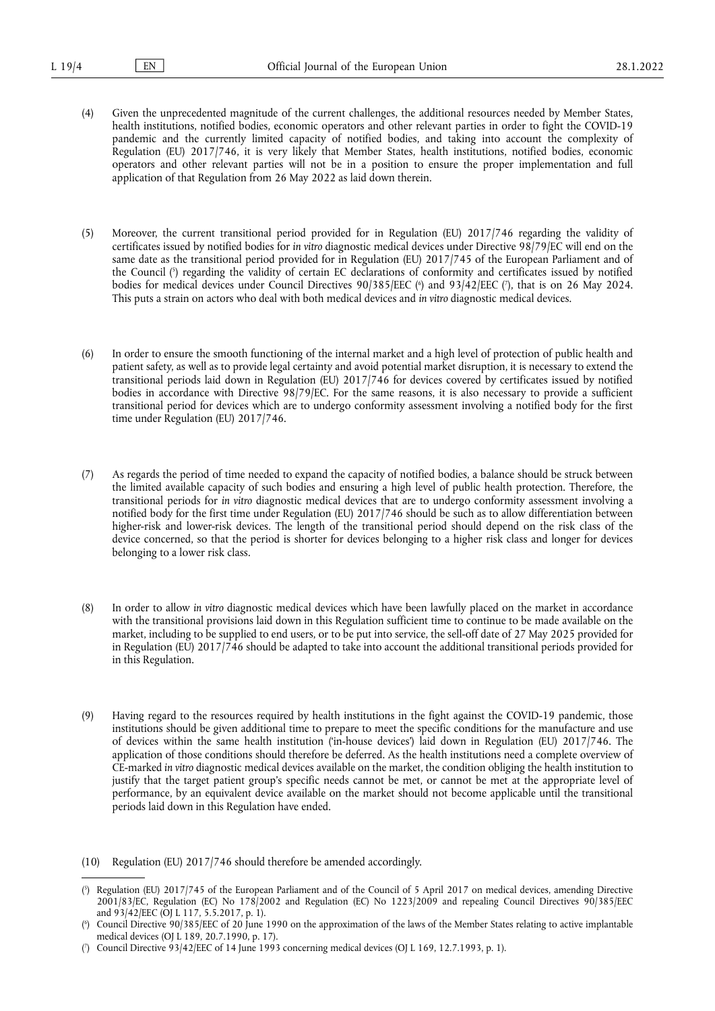- (4) Given the unprecedented magnitude of the current challenges, the additional resources needed by Member States, health institutions, notified bodies, economic operators and other relevant parties in order to fight the COVID-19 pandemic and the currently limited capacity of notified bodies, and taking into account the complexity of Regulation (EU) 2017/746, it is very likely that Member States, health institutions, notified bodies, economic operators and other relevant parties will not be in a position to ensure the proper implementation and full application of that Regulation from 26 May 2022 as laid down therein.
- <span id="page-1-4"></span><span id="page-1-3"></span>(5) Moreover, the current transitional period provided for in Regulation (EU) 2017/746 regarding the validity of certificates issued by notified bodies for *in vitro* diagnostic medical devices under Directive 98/79/EC will end on the same date as the transitional period provided for in Regulation (EU) 2017/745 of the European Parliament and of the Council [\(](#page-1-0) 5 ) regarding the validity of certain EC declarations of conformity and certificates issued by notified bodies for medical devices under Council Directives 90/385/EEC [\(](#page-1-2)\*) and 93/42/EEC (\*), that is on 26 May 2024. This puts a strain on actors who deal with both medical devices and *in vitro* diagnostic medical devices.
- (6) In order to ensure the smooth functioning of the internal market and a high level of protection of public health and patient safety, as well as to provide legal certainty and avoid potential market disruption, it is necessary to extend the transitional periods laid down in Regulation (EU) 2017/746 for devices covered by certificates issued by notified bodies in accordance with Directive 98/79/EC. For the same reasons, it is also necessary to provide a sufficient transitional period for devices which are to undergo conformity assessment involving a notified body for the first time under Regulation (EU) 2017/746.
- (7) As regards the period of time needed to expand the capacity of notified bodies, a balance should be struck between the limited available capacity of such bodies and ensuring a high level of public health protection. Therefore, the transitional periods for *in vitro* diagnostic medical devices that are to undergo conformity assessment involving a notified body for the first time under Regulation (EU) 2017/746 should be such as to allow differentiation between higher-risk and lower-risk devices. The length of the transitional period should depend on the risk class of the device concerned, so that the period is shorter for devices belonging to a higher risk class and longer for devices belonging to a lower risk class.
- (8) In order to allow *in vitro* diagnostic medical devices which have been lawfully placed on the market in accordance with the transitional provisions laid down in this Regulation sufficient time to continue to be made available on the market, including to be supplied to end users, or to be put into service, the sell-off date of 27 May 2025 provided for in Regulation (EU) 2017/746 should be adapted to take into account the additional transitional periods provided for in this Regulation.
- (9) Having regard to the resources required by health institutions in the fight against the COVID-19 pandemic, those institutions should be given additional time to prepare to meet the specific conditions for the manufacture and use of devices within the same health institution ('in-house devices') laid down in Regulation (EU) 2017/746. The application of those conditions should therefore be deferred. As the health institutions need a complete overview of CE-marked *in vitro* diagnostic medical devices available on the market, the condition obliging the health institution to justify that the target patient group's specific needs cannot be met, or cannot be met at the appropriate level of performance, by an equivalent device available on the market should not become applicable until the transitional periods laid down in this Regulation have ended.
- (10) Regulation (EU) 2017/746 should therefore be amended accordingly.

<span id="page-1-0"></span>[<sup>\(</sup>](#page-1-3) 5 ) Regulation (EU) 2017/745 of the European Parliament and of the Council of 5 April 2017 on medical devices, amending Directive 2001/83/EC, Regulation (EC) No 178/2002 and Regulation (EC) No 1223/2009 and repealing Council Directives 90/385/EEC and 93/42/EEC (OJ L 117, 5.5.2017, p. 1).

<span id="page-1-1"></span>[<sup>\(</sup>](#page-1-4) 6 ) Council Directive 90/385/EEC of 20 June 1990 on the approximation of the laws of the Member States relating to active implantable medical devices (OJ L 189, 20.7.1990, p. 17).

<span id="page-1-2"></span><sup>(</sup> 7 [\)](#page-1-4) Council Directive 93/42/EEC of 14 June 1993 concerning medical devices (OJ L 169, 12.7.1993, p. 1).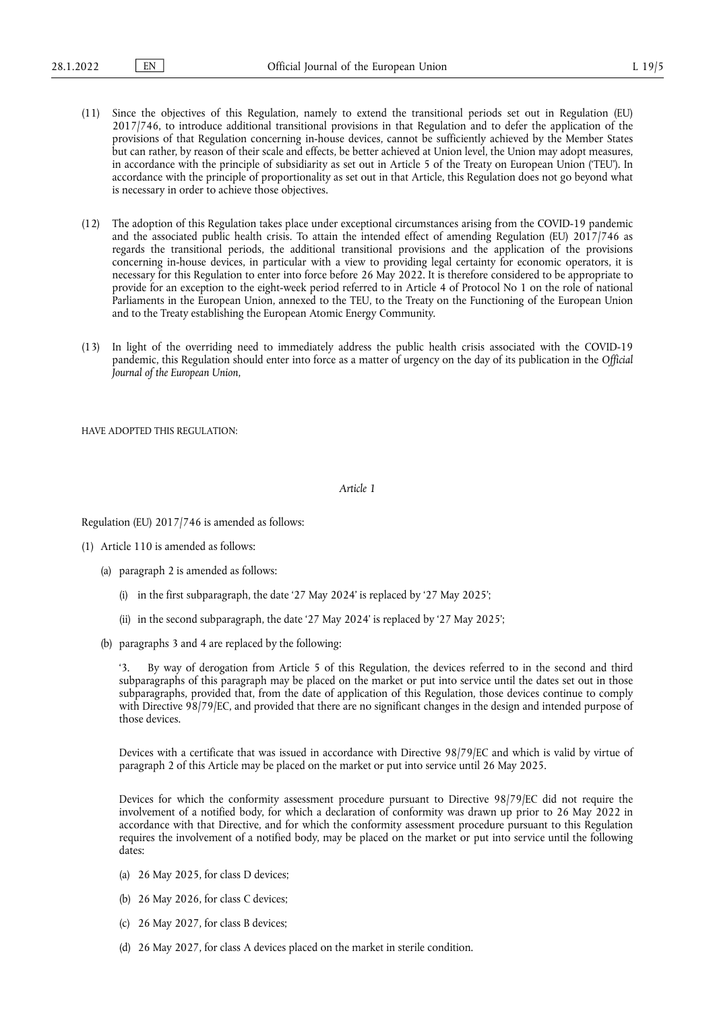- (11) Since the objectives of this Regulation, namely to extend the transitional periods set out in Regulation (EU) 2017/746, to introduce additional transitional provisions in that Regulation and to defer the application of the provisions of that Regulation concerning in-house devices, cannot be sufficiently achieved by the Member States but can rather, by reason of their scale and effects, be better achieved at Union level, the Union may adopt measures, in accordance with the principle of subsidiarity as set out in Article 5 of the Treaty on European Union ('TEU'). In accordance with the principle of proportionality as set out in that Article, this Regulation does not go beyond what is necessary in order to achieve those objectives.
- (12) The adoption of this Regulation takes place under exceptional circumstances arising from the COVID-19 pandemic and the associated public health crisis. To attain the intended effect of amending Regulation (EU) 2017/746 as regards the transitional periods, the additional transitional provisions and the application of the provisions concerning in-house devices, in particular with a view to providing legal certainty for economic operators, it is necessary for this Regulation to enter into force before 26 May 2022. It is therefore considered to be appropriate to provide for an exception to the eight-week period referred to in Article 4 of Protocol No 1 on the role of national Parliaments in the European Union, annexed to the TEU, to the Treaty on the Functioning of the European Union and to the Treaty establishing the European Atomic Energy Community.
- (13) In light of the overriding need to immediately address the public health crisis associated with the COVID-19 pandemic, this Regulation should enter into force as a matter of urgency on the day of its publication in the *Official Journal of the European Union*,

HAVE ADOPTED THIS REGULATION:

*Article 1*

Regulation (EU) 2017/746 is amended as follows:

- (1) Article 110 is amended as follows:
	- (a) paragraph 2 is amended as follows:
		- (i) in the first subparagraph, the date '27 May 2024' is replaced by '27 May 2025';
		- (ii) in the second subparagraph, the date '27 May 2024' is replaced by '27 May 2025';
	- (b) paragraphs 3 and 4 are replaced by the following:

By way of derogation from Article 5 of this Regulation, the devices referred to in the second and third subparagraphs of this paragraph may be placed on the market or put into service until the dates set out in those subparagraphs, provided that, from the date of application of this Regulation, those devices continue to comply with Directive 98/79/EC, and provided that there are no significant changes in the design and intended purpose of those devices.

Devices with a certificate that was issued in accordance with Directive 98/79/EC and which is valid by virtue of paragraph 2 of this Article may be placed on the market or put into service until 26 May 2025.

Devices for which the conformity assessment procedure pursuant to Directive 98/79/EC did not require the involvement of a notified body, for which a declaration of conformity was drawn up prior to 26 May 2022 in accordance with that Directive, and for which the conformity assessment procedure pursuant to this Regulation requires the involvement of a notified body, may be placed on the market or put into service until the following dates:

- (a) 26 May 2025, for class D devices;
- (b) 26 May 2026, for class C devices;
- (c) 26 May 2027, for class B devices;
- (d) 26 May 2027, for class A devices placed on the market in sterile condition.